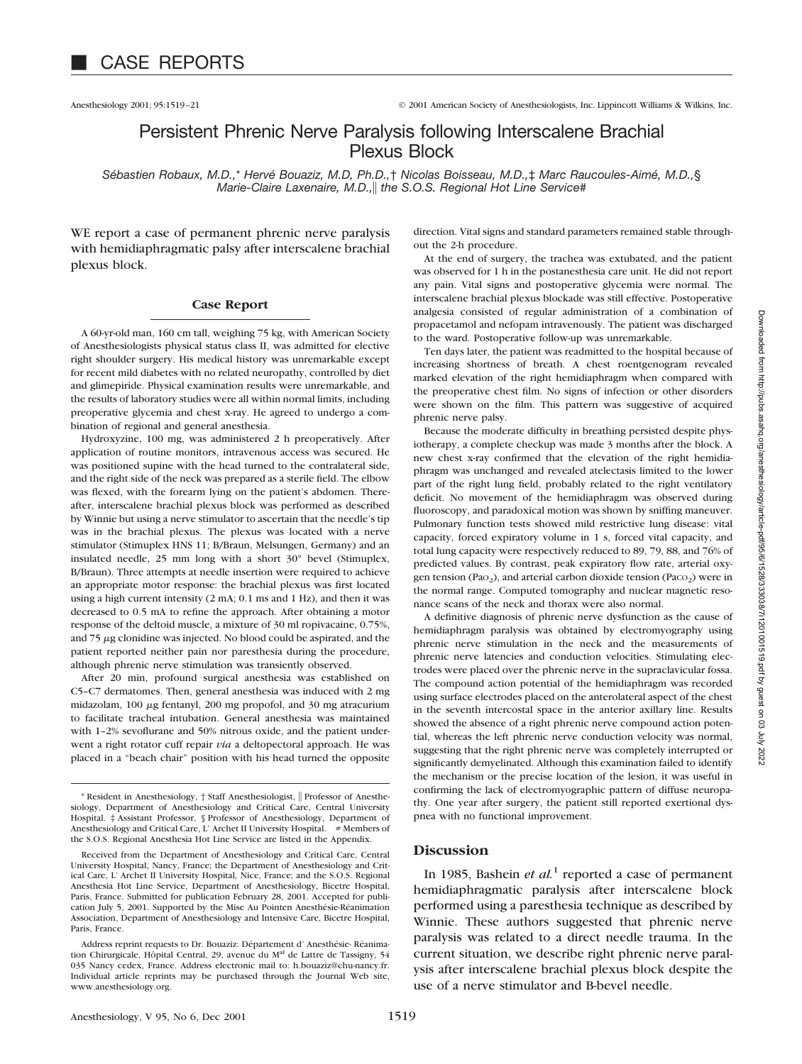Anesthesiology 2001; 95:1519–21 © 2001 American Society of Anesthesiologists, Inc. Lippincott Williams & Wilkins, Inc.

# Persistent Phrenic Nerve Paralysis following Interscalene Brachial Plexus Block

*Sébastien Robaux, M.D.,*\* *Hervé Bouaziz, M.D, Ph.D.,*† *Nicolas Boisseau, M.D.,*‡ *Marc Raucoules-Aimé, M.D.,*§ *Marie-Claire Laxenaire, M.D., the S.O.S. Regional Hot Line Service*#

WE report a case of permanent phrenic nerve paralysis with hemidiaphragmatic palsy after interscalene brachial plexus block.

#### **Case Report**

A 60-yr-old man, 160 cm tall, weighing 75 kg, with American Society of Anesthesiologists physical status class II, was admitted for elective right shoulder surgery. His medical history was unremarkable except for recent mild diabetes with no related neuropathy, controlled by diet and glimepiride. Physical examination results were unremarkable, and the results of laboratory studies were all within normal limits, including preoperative glycemia and chest x-ray. He agreed to undergo a combination of regional and general anesthesia.

Hydroxyzine, 100 mg, was administered 2 h preoperatively. After application of routine monitors, intravenous access was secured. He was positioned supine with the head turned to the contralateral side, and the right side of the neck was prepared as a sterile field. The elbow was flexed, with the forearm lying on the patient's abdomen. Thereafter, interscalene brachial plexus block was performed as described by Winnie but using a nerve stimulator to ascertain that the needle's tip was in the brachial plexus. The plexus was located with a nerve stimulator (Stimuplex HNS 11; B/Braun, Melsungen, Germany) and an insulated needle, 25 mm long with a short 30° bevel (Stimuplex, B/Braun). Three attempts at needle insertion were required to achieve an appropriate motor response: the brachial plexus was first located using a high current intensity (2 mA; 0.1 ms and 1 Hz), and then it was decreased to 0.5 mA to refine the approach. After obtaining a motor response of the deltoid muscle, a mixture of 30 ml ropivacaine, 0.75%, and  $75 \mu$ g clonidine was injected. No blood could be aspirated, and the patient reported neither pain nor paresthesia during the procedure, although phrenic nerve stimulation was transiently observed.

After 20 min, profound surgical anesthesia was established on C5–C7 dermatomes. Then, general anesthesia was induced with 2 mg midazolam,  $100 \mu$ g fentanyl,  $200 \text{ mg}$  propofol, and  $30 \text{ mg}$  atracurium to facilitate tracheal intubation. General anesthesia was maintained with 1-2% sevoflurane and 50% nitrous oxide, and the patient underwent a right rotator cuff repair *via* a deltopectoral approach. He was placed in a "beach chair" position with his head turned the opposite direction. Vital signs and standard parameters remained stable throughout the 2-h procedure.

At the end of surgery, the trachea was extubated, and the patient was observed for 1 h in the postanesthesia care unit. He did not report any pain. Vital signs and postoperative glycemia were normal. The interscalene brachial plexus blockade was still effective. Postoperative analgesia consisted of regular administration of a combination of propacetamol and nefopam intravenously. The patient was discharged to the ward. Postoperative follow-up was unremarkable.

Ten days later, the patient was readmitted to the hospital because of increasing shortness of breath. A chest roentgenogram revealed marked elevation of the right hemidiaphragm when compared with the preoperative chest film. No signs of infection or other disorders were shown on the film. This pattern was suggestive of acquired phrenic nerve palsy.

Because the moderate difficulty in breathing persisted despite physiotherapy, a complete checkup was made 3 months after the block. A new chest x-ray confirmed that the elevation of the right hemidiaphragm was unchanged and revealed atelectasis limited to the lower part of the right lung field, probably related to the right ventilatory deficit. No movement of the hemidiaphragm was observed during fluoroscopy, and paradoxical motion was shown by sniffing maneuver. Pulmonary function tests showed mild restrictive lung disease: vital capacity, forced expiratory volume in 1 s, forced vital capacity, and total lung capacity were respectively reduced to 89, 79, 88, and 76% of predicted values. By contrast, peak expiratory flow rate, arterial oxygen tension (Pa $O<sub>2</sub>$ ), and arterial carbon dioxide tension (Pa $CO<sub>2</sub>$ ) were in the normal range. Computed tomography and nuclear magnetic resonance scans of the neck and thorax were also normal.

A definitive diagnosis of phrenic nerve dysfunction as the cause of hemidiaphragm paralysis was obtained by electromyography using phrenic nerve stimulation in the neck and the measurements of phrenic nerve latencies and conduction velocities. Stimulating electrodes were placed over the phrenic nerve in the supraclavicular fossa. The compound action potential of the hemidiaphragm was recorded using surface electrodes placed on the anterolateral aspect of the chest in the seventh intercostal space in the anterior axillary line. Results showed the absence of a right phrenic nerve compound action potential, whereas the left phrenic nerve conduction velocity was normal, suggesting that the right phrenic nerve was completely interrupted or significantly demyelinated. Although this examination failed to identify the mechanism or the precise location of the lesion, it was useful in confirming the lack of electromyographic pattern of diffuse neuropathy. One year after surgery, the patient still reported exertional dyspnea with no functional improvement.

### **Discussion**

In 1985, Bashein *et al.*<sup>1</sup> reported a case of permanent hemidiaphragmatic paralysis after interscalene block performed using a paresthesia technique as described by Winnie. These authors suggested that phrenic nerve paralysis was related to a direct needle trauma. In the current situation, we describe right phrenic nerve paralysis after interscalene brachial plexus block despite the use of a nerve stimulator and B-bevel needle.

<sup>\*</sup> Resident in Anesthesiology, † Staff Anesthesiologist, Professor of Anesthesiology, Department of Anesthesiology and Critical Care, Central University Hospital. ‡ Assistant Professor, § Professor of Anesthesiology, Department of Anesthesiology and Critical Care, L' Archet II University Hospital. # Members of the S.O.S. Regional Anesthesia Hot Line Service are listed in the Appendix.

Received from the Department of Anesthesiology and Critical Care, Central University Hospital, Nancy, France; the Department of Anesthesiology and Critical Care, L' Archet II University Hospital, Nice, France; and the S.O.S. Regional Anesthesia Hot Line Service, Department of Anesthesiology, Bicetre Hospital, Paris, France. Submitted for publication February 28, 2001. Accepted for publication July 5, 2001. Supported by the Mise Au Pointen Anesthésie-Réanimation Association, Department of Anesthesiology and Intensive Care, Bicetre Hospital, Paris, France.

Address reprint requests to Dr. Bouaziz: Département d' Anesthésie- Réanimation Chirurgicale, Hôpital Central, 29, avenue du M<sup>al</sup> de Lattre de Tassigny, 54 035 Nancy cedex, France. Address electronic mail to: h.bouaziz@chu-nancy.fr. Individual article reprints may be purchased through the Journal Web site, www.anesthesiology.org.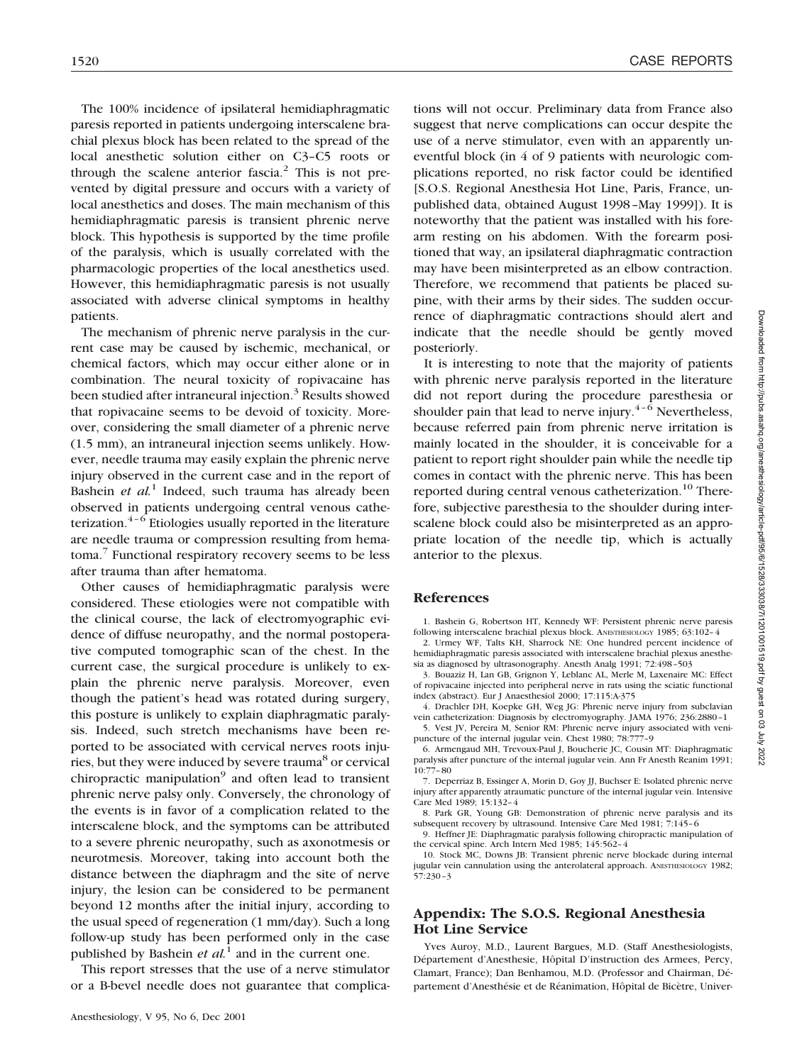The 100% incidence of ipsilateral hemidiaphragmatic paresis reported in patients undergoing interscalene brachial plexus block has been related to the spread of the local anesthetic solution either on C3–C5 roots or through the scalene anterior fascia.<sup>2</sup> This is not prevented by digital pressure and occurs with a variety of local anesthetics and doses. The main mechanism of this hemidiaphragmatic paresis is transient phrenic nerve block. This hypothesis is supported by the time profile of the paralysis, which is usually correlated with the pharmacologic properties of the local anesthetics used. However, this hemidiaphragmatic paresis is not usually associated with adverse clinical symptoms in healthy patients.

The mechanism of phrenic nerve paralysis in the current case may be caused by ischemic, mechanical, or chemical factors, which may occur either alone or in combination. The neural toxicity of ropivacaine has been studied after intraneural injection.<sup>3</sup> Results showed that ropivacaine seems to be devoid of toxicity. Moreover, considering the small diameter of a phrenic nerve (1.5 mm), an intraneural injection seems unlikely. However, needle trauma may easily explain the phrenic nerve injury observed in the current case and in the report of Bashein *et al.*<sup>1</sup> Indeed, such trauma has already been observed in patients undergoing central venous catheterization. $4-6$  Etiologies usually reported in the literature are needle trauma or compression resulting from hematoma.7 Functional respiratory recovery seems to be less after trauma than after hematoma.

Other causes of hemidiaphragmatic paralysis were considered. These etiologies were not compatible with the clinical course, the lack of electromyographic evidence of diffuse neuropathy, and the normal postoperative computed tomographic scan of the chest. In the current case, the surgical procedure is unlikely to explain the phrenic nerve paralysis. Moreover, even though the patient's head was rotated during surgery, this posture is unlikely to explain diaphragmatic paralysis. Indeed, such stretch mechanisms have been reported to be associated with cervical nerves roots injuries, but they were induced by severe trauma<sup>8</sup> or cervical chiropractic manipulation<sup>9</sup> and often lead to transient phrenic nerve palsy only. Conversely, the chronology of the events is in favor of a complication related to the interscalene block, and the symptoms can be attributed to a severe phrenic neuropathy, such as axonotmesis or neurotmesis. Moreover, taking into account both the distance between the diaphragm and the site of nerve injury, the lesion can be considered to be permanent beyond 12 months after the initial injury, according to the usual speed of regeneration (1 mm/day). Such a long follow-up study has been performed only in the case published by Bashein *et al.*<sup>1</sup> and in the current one.

This report stresses that the use of a nerve stimulator or a B-bevel needle does not guarantee that complications will not occur. Preliminary data from France also suggest that nerve complications can occur despite the use of a nerve stimulator, even with an apparently uneventful block (in 4 of 9 patients with neurologic complications reported, no risk factor could be identified [S.O.S. Regional Anesthesia Hot Line, Paris, France, unpublished data, obtained August 1998–May 1999]). It is noteworthy that the patient was installed with his forearm resting on his abdomen. With the forearm positioned that way, an ipsilateral diaphragmatic contraction may have been misinterpreted as an elbow contraction. Therefore, we recommend that patients be placed supine, with their arms by their sides. The sudden occurrence of diaphragmatic contractions should alert and indicate that the needle should be gently moved posteriorly.

It is interesting to note that the majority of patients with phrenic nerve paralysis reported in the literature did not report during the procedure paresthesia or shoulder pain that lead to nerve injury. $4-6$  Nevertheless, because referred pain from phrenic nerve irritation is mainly located in the shoulder, it is conceivable for a patient to report right shoulder pain while the needle tip comes in contact with the phrenic nerve. This has been reported during central venous catheterization.<sup>10</sup> Therefore, subjective paresthesia to the shoulder during interscalene block could also be misinterpreted as an appropriate location of the needle tip, which is actually anterior to the plexus.

### **References**

1. Bashein G, Robertson HT, Kennedy WF: Persistent phrenic nerve paresis following interscalene brachial plexus block. ANESTHESIOLOGY 1985; 63:102–4

2. Urmey WF, Talts KH, Sharrock NE: One hundred percent incidence of hemidiaphragmatic paresis associated with interscalene brachial plexus anesthesia as diagnosed by ultrasonography. Anesth Analg 1991; 72:498–503

3. Bouaziz H, Lan GB, Grignon Y, Leblanc AL, Merle M, Laxenaire MC: Effect of ropivacaine injected into peripheral nerve in rats using the sciatic functional index (abstract). Eur J Anaesthesiol 2000; 17:115:A-375

4. Drachler DH, Koepke GH, Weg JG: Phrenic nerve injury from subclavian vein catheterization: Diagnosis by electromyography. JAMA 1976; 236:2880–1 5. Vest JV, Pereira M, Senior RM: Phrenic nerve injury associated with veni-

puncture of the internal jugular vein. Chest 1980; 78:777–9 6. Armengaud MH, Trevoux-Paul J, Boucherie JC, Cousin MT: Diaphragmatic

paralysis after puncture of the internal jugular vein. Ann Fr Anesth Reanim 1991; 10:77–80

7. Deperriaz B, Essinger A, Morin D, Goy JJ, Buchser E: Isolated phrenic nerve injury after apparently atraumatic puncture of the internal jugular vein. Intensive Care Med 1989; 15:132–4

8. Park GR, Young GB: Demonstration of phrenic nerve paralysis and its subsequent recovery by ultrasound. Intensive Care Med 1981; 7:145–6

9. Heffner JE: Diaphragmatic paralysis following chiropractic manipulation of the cervical spine. Arch Intern Med 1985; 145:562–4

10. Stock MC, Downs JB: Transient phrenic nerve blockade during internal jugular vein cannulation using the anterolateral approach. ANESTHESIOLOGY 1982; 57:230–3

# **Appendix: The S.O.S. Regional Anesthesia Hot Line Service**

Yves Auroy, M.D., Laurent Bargues, M.D. (Staff Anesthesiologists, Département d'Anesthesie, Hôpital D'instruction des Armees, Percy, Clamart, France); Dan Benhamou, M.D. (Professor and Chairman, Département d'Anesthésie et de Réanimation, Hôpital de Bicètre, Univer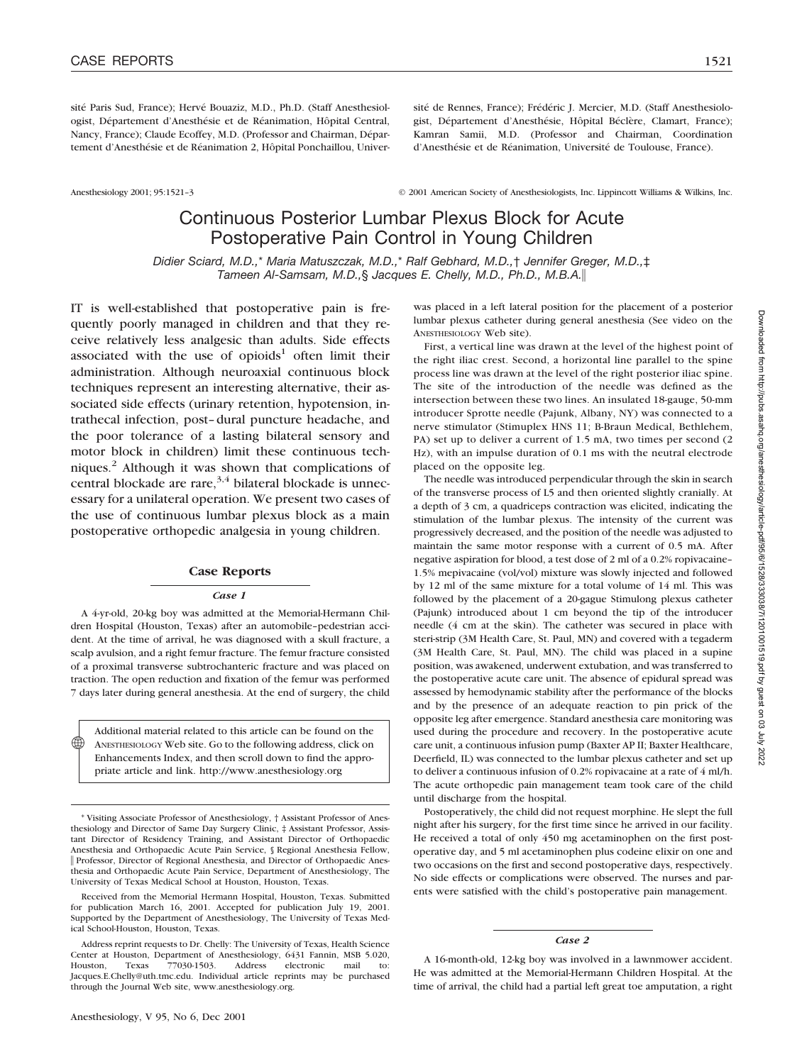sité Paris Sud, France); Hervé Bouaziz, M.D., Ph.D. (Staff Anesthesiologist, Département d'Anesthésie et de Réanimation, Hôpital Central, Nancy, France); Claude Ecoffey, M.D. (Professor and Chairman, Département d'Anesthésie et de Réanimation 2, Hôpital Ponchaillou, Univer-

sité de Rennes, France); Frédéric J. Mercier, M.D. (Staff Anesthesiologist, Département d'Anesthésie, Hôpital Béclère, Clamart, France); Kamran Samii, M.D. (Professor and Chairman, Coordination d'Anesthésie et de Réanimation, Université de Toulouse, France).

Anesthesiology 2001; 95:1521–3 © 2001 American Society of Anesthesiologists, Inc. Lippincott Williams & Wilkins, Inc.

# Continuous Posterior Lumbar Plexus Block for Acute Postoperative Pain Control in Young Children

*Didier Sciard, M.D.,*\* *Maria Matuszczak, M.D.,*\* *Ralf Gebhard, M.D.,*† *Jennifer Greger, M.D.,*‡ *Tameen Al-Samsam, M.D.,*§ *Jacques E. Chelly, M.D., Ph.D., M.B.A.*

IT is well-established that postoperative pain is frequently poorly managed in children and that they receive relatively less analgesic than adults. Side effects associated with the use of opioids<sup>1</sup> often limit their administration. Although neuroaxial continuous block techniques represent an interesting alternative, their associated side effects (urinary retention, hypotension, intrathecal infection, post–dural puncture headache, and the poor tolerance of a lasting bilateral sensory and motor block in children) limit these continuous techniques.2 Although it was shown that complications of central blockade are rare, $3,4$  bilateral blockade is unnecessary for a unilateral operation. We present two cases of the use of continuous lumbar plexus block as a main postoperative orthopedic analgesia in young children.

#### **Case Reports**

#### *Case 1*

A 4-yr-old, 20-kg boy was admitted at the Memorial-Hermann Children Hospital (Houston, Texas) after an automobile–pedestrian accident. At the time of arrival, he was diagnosed with a skull fracture, a scalp avulsion, and a right femur fracture. The femur fracture consisted of a proximal transverse subtrochanteric fracture and was placed on traction. The open reduction and fixation of the femur was performed 7 days later during general anesthesia. At the end of surgery, the child

Additional material related to this article can be found on the ANESTHESIOLOGY Web site. Go to the following address, click on Enhancements Index, and then scroll down to find the appropriate article and link. http://www.anesthesiology.org

♠

was placed in a left lateral position for the placement of a posterior lumbar plexus catheter during general anesthesia (See video on the ANESTHESIOLOGY Web site).

First, a vertical line was drawn at the level of the highest point of the right iliac crest. Second, a horizontal line parallel to the spine process line was drawn at the level of the right posterior iliac spine. The site of the introduction of the needle was defined as the intersection between these two lines. An insulated 18-gauge, 50-mm introducer Sprotte needle (Pajunk, Albany, NY) was connected to a nerve stimulator (Stimuplex HNS 11; B-Braun Medical, Bethlehem, PA) set up to deliver a current of 1.5 mA, two times per second (2 Hz), with an impulse duration of 0.1 ms with the neutral electrode placed on the opposite leg.

The needle was introduced perpendicular through the skin in search of the transverse process of L5 and then oriented slightly cranially. At a depth of 3 cm, a quadriceps contraction was elicited, indicating the stimulation of the lumbar plexus. The intensity of the current was progressively decreased, and the position of the needle was adjusted to maintain the same motor response with a current of 0.5 mA. After negative aspiration for blood, a test dose of 2 ml of a 0.2% ropivacaine– 1.5% mepivacaine (vol/vol) mixture was slowly injected and followed by 12 ml of the same mixture for a total volume of 14 ml. This was followed by the placement of a 20-gague Stimulong plexus catheter (Pajunk) introduced about 1 cm beyond the tip of the introducer needle (4 cm at the skin). The catheter was secured in place with steri-strip (3M Health Care, St. Paul, MN) and covered with a tegaderm (3M Health Care, St. Paul, MN). The child was placed in a supine position, was awakened, underwent extubation, and was transferred to the postoperative acute care unit. The absence of epidural spread was assessed by hemodynamic stability after the performance of the blocks and by the presence of an adequate reaction to pin prick of the opposite leg after emergence. Standard anesthesia care monitoring was used during the procedure and recovery. In the postoperative acute care unit, a continuous infusion pump (Baxter AP II; Baxter Healthcare, Deerfield, IL) was connected to the lumbar plexus catheter and set up to deliver a continuous infusion of 0.2% ropivacaine at a rate of 4 ml/h. The acute orthopedic pain management team took care of the child until discharge from the hospital.

Postoperatively, the child did not request morphine. He slept the full night after his surgery, for the first time since he arrived in our facility. He received a total of only 450 mg acetaminophen on the first postoperative day, and 5 ml acetaminophen plus codeine elixir on one and two occasions on the first and second postoperative days, respectively. No side effects or complications were observed. The nurses and parents were satisfied with the child's postoperative pain management.

#### *Case 2*

A 16-month-old, 12-kg boy was involved in a lawnmower accident. He was admitted at the Memorial-Hermann Children Hospital. At the time of arrival, the child had a partial left great toe amputation, a right

<sup>\*</sup> Visiting Associate Professor of Anesthesiology, † Assistant Professor of Anesthesiology and Director of Same Day Surgery Clinic, ‡ Assistant Professor, Assistant Director of Residency Training, and Assistant Director of Orthopaedic Anesthesia and Orthopaedic Acute Pain Service, § Regional Anesthesia Fellow, Professor, Director of Regional Anesthesia, and Director of Orthopaedic Anesthesia and Orthopaedic Acute Pain Service, Department of Anesthesiology, The University of Texas Medical School at Houston, Houston, Texas.

Received from the Memorial Hermann Hospital, Houston, Texas. Submitted for publication March 16, 2001. Accepted for publication July 19, 2001. Supported by the Department of Anesthesiology, The University of Texas Medical School-Houston, Houston, Texas.

Address reprint requests to Dr. Chelly: The University of Texas, Health Science Center at Houston, Department of Anesthesiology, 6431 Fannin, MSB 5.020, Houston, Texas 77030-1503. Address electronic mail to: Jacques.E.Chelly@uth.tmc.edu. Individual article reprints may be purchased through the Journal Web site, www.anesthesiology.org.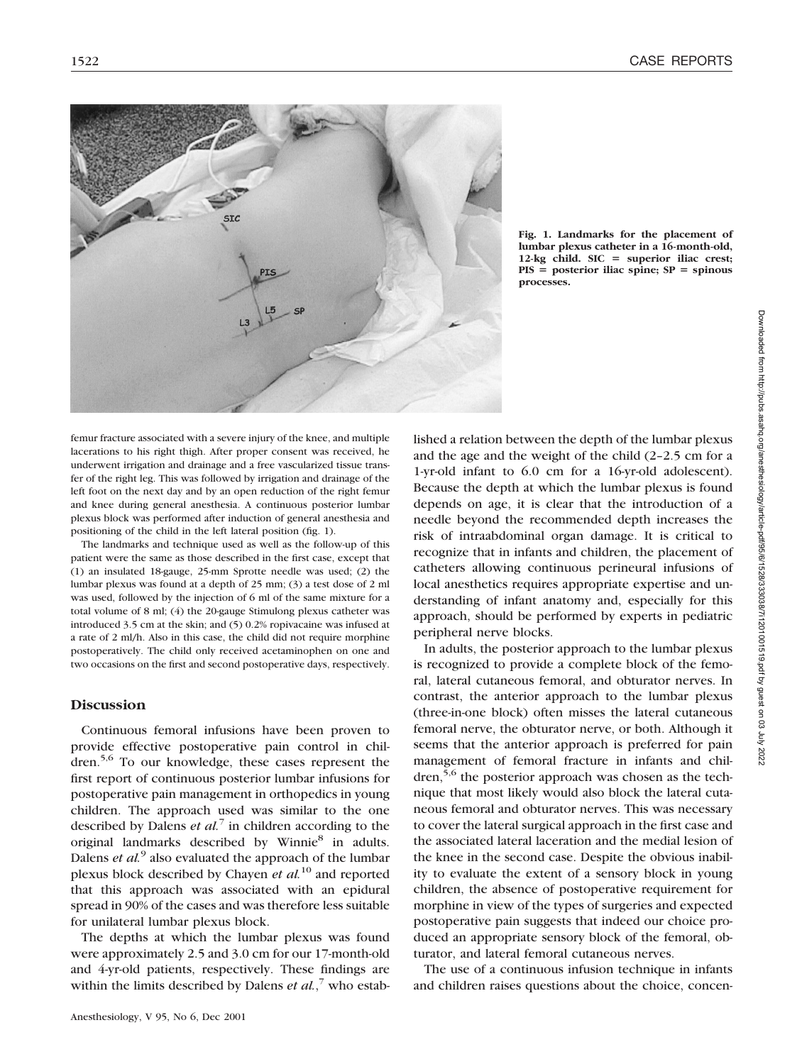

**Fig. 1. Landmarks for the placement of lumbar plexus catheter in a 16-month-old, 12-kg child. SIC superior iliac crest;**  $PIS = posterior$  iliac spine;  $SP = spinous$ **processes.**

femur fracture associated with a severe injury of the knee, and multiple lacerations to his right thigh. After proper consent was received, he underwent irrigation and drainage and a free vascularized tissue transfer of the right leg. This was followed by irrigation and drainage of the left foot on the next day and by an open reduction of the right femur and knee during general anesthesia. A continuous posterior lumbar plexus block was performed after induction of general anesthesia and positioning of the child in the left lateral position (fig. 1).

The landmarks and technique used as well as the follow-up of this patient were the same as those described in the first case, except that (1) an insulated 18-gauge, 25-mm Sprotte needle was used; (2) the lumbar plexus was found at a depth of 25 mm; (3) a test dose of 2 ml was used, followed by the injection of 6 ml of the same mixture for a total volume of 8 ml; (4) the 20-gauge Stimulong plexus catheter was introduced 3.5 cm at the skin; and (5) 0.2% ropivacaine was infused at a rate of 2 ml/h. Also in this case, the child did not require morphine postoperatively. The child only received acetaminophen on one and two occasions on the first and second postoperative days, respectively.

## **Discussion**

Continuous femoral infusions have been proven to provide effective postoperative pain control in children.5,6 To our knowledge, these cases represent the first report of continuous posterior lumbar infusions for postoperative pain management in orthopedics in young children. The approach used was similar to the one described by Dalens *et al.*<sup>7</sup> in children according to the original landmarks described by Winnie<sup>8</sup> in adults. Dalens *et al.*<sup>9</sup> also evaluated the approach of the lumbar plexus block described by Chayen *et al.*<sup>10</sup> and reported that this approach was associated with an epidural spread in 90% of the cases and was therefore less suitable for unilateral lumbar plexus block.

The depths at which the lumbar plexus was found were approximately 2.5 and 3.0 cm for our 17-month-old and 4-yr-old patients, respectively. These findings are within the limits described by Dalens *et al.*,<sup>7</sup> who estab-

Anesthesiology, V 95, No 6, Dec 2001

lished a relation between the depth of the lumbar plexus and the age and the weight of the child (2–2.5 cm for a 1-yr-old infant to 6.0 cm for a 16-yr-old adolescent). Because the depth at which the lumbar plexus is found depends on age, it is clear that the introduction of a needle beyond the recommended depth increases the risk of intraabdominal organ damage. It is critical to recognize that in infants and children, the placement of catheters allowing continuous perineural infusions of local anesthetics requires appropriate expertise and understanding of infant anatomy and, especially for this approach, should be performed by experts in pediatric peripheral nerve blocks.

In adults, the posterior approach to the lumbar plexus is recognized to provide a complete block of the femoral, lateral cutaneous femoral, and obturator nerves. In contrast, the anterior approach to the lumbar plexus (three-in-one block) often misses the lateral cutaneous femoral nerve, the obturator nerve, or both. Although it seems that the anterior approach is preferred for pain management of femoral fracture in infants and children,<sup>5,6</sup> the posterior approach was chosen as the technique that most likely would also block the lateral cutaneous femoral and obturator nerves. This was necessary to cover the lateral surgical approach in the first case and the associated lateral laceration and the medial lesion of the knee in the second case. Despite the obvious inability to evaluate the extent of a sensory block in young children, the absence of postoperative requirement for morphine in view of the types of surgeries and expected postoperative pain suggests that indeed our choice produced an appropriate sensory block of the femoral, obturator, and lateral femoral cutaneous nerves.

The use of a continuous infusion technique in infants and children raises questions about the choice, concen-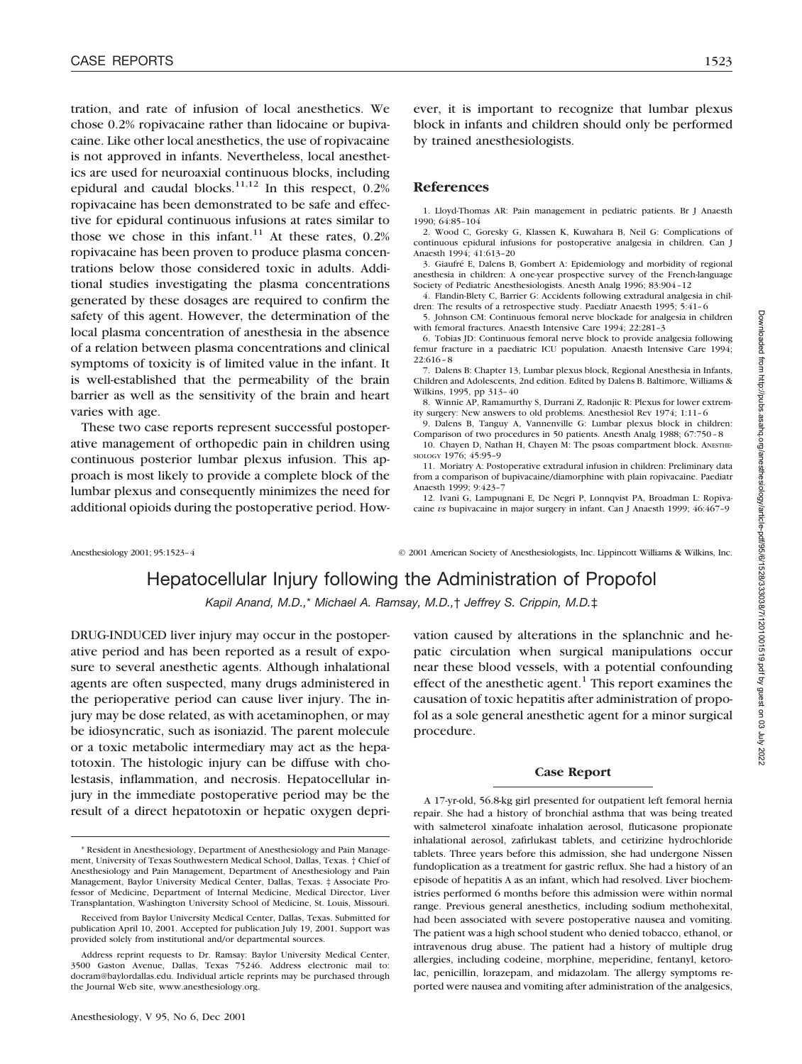tration, and rate of infusion of local anesthetics. We chose 0.2% ropivacaine rather than lidocaine or bupivacaine. Like other local anesthetics, the use of ropivacaine is not approved in infants. Nevertheless, local anesthetics are used for neuroaxial continuous blocks, including epidural and caudal blocks.<sup>11,12</sup> In this respect,  $0.2\%$ ropivacaine has been demonstrated to be safe and effective for epidural continuous infusions at rates similar to those we chose in this infant.<sup>11</sup> At these rates,  $0.2\%$ ropivacaine has been proven to produce plasma concentrations below those considered toxic in adults. Additional studies investigating the plasma concentrations generated by these dosages are required to confirm the safety of this agent. However, the determination of the local plasma concentration of anesthesia in the absence of a relation between plasma concentrations and clinical symptoms of toxicity is of limited value in the infant. It is well-established that the permeability of the brain barrier as well as the sensitivity of the brain and heart varies with age.

These two case reports represent successful postoperative management of orthopedic pain in children using continuous posterior lumbar plexus infusion. This approach is most likely to provide a complete block of the lumbar plexus and consequently minimizes the need for additional opioids during the postoperative period. How-

ever, it is important to recognize that lumbar plexus block in infants and children should only be performed by trained anesthesiologists.

## **References**

1. Lloyd-Thomas AR: Pain management in pediatric patients. Br J Anaesth 1990; 64:85–104

2. Wood C, Goresky G, Klassen K, Kuwahara B, Neil G: Complications of continuous epidural infusions for postoperative analgesia in children. Can J Anaesth 1994; 41:613–20

3. Giaufré E, Dalens B, Gombert A: Epidemiology and morbidity of regional anesthesia in children: A one-year prospective survey of the French-language Society of Pediatric Anesthesiologists. Anesth Analg 1996; 83:904–12

4. Flandin-Blety C, Barrier G: Accidents following extradural analgesia in children: The results of a retrospective study. Paediatr Anaesth 1995; 5:41–6

5. Johnson CM: Continuous femoral nerve blockade for analgesia in children with femoral fractures. Anaesth Intensive Care 1994; 22:281–3

6. Tobias JD: Continuous femoral nerve block to provide analgesia following femur fracture in a paediatric ICU population. Anaesth Intensive Care 1994; 22:616–8

7. Dalens B: Chapter 13, Lumbar plexus block, Regional Anesthesia in Infants, Children and Adolescents, 2nd edition. Edited by Dalens B. Baltimore, Williams & Wilkins, 1995, pp 313–40

8. Winnie AP, Ramamurthy S, Durrani Z, Radonjic R: Plexus for lower extremity surgery: New answers to old problems. Anesthesiol Rev 1974; 1:11–6

9. Dalens B, Tanguy A, Vannenville G: Lumbar plexus block in children: Comparison of two procedures in 50 patients. Anesth Analg 1988; 67:750–8

10. Chayen D, Nathan H, Chayen M: The psoas compartment block. ANESTHE-SIOLOGY 1976; 45:95–9

11. Moriatry A: Postoperative extradural infusion in children: Preliminary data from a comparison of bupivacaine/diamorphine with plain ropivacaine. Paediatr Anaesth 1999; 9:423–7

12. Ivani G, Lampugnani E, De Negri P, Lonnqvist PA, Broadman L: Ropivacaine *vs* bupivacaine in major surgery in infant. Can J Anaesth 1999; 46:467–9

Anesthesiology 2001; 95:1523–4 © 2001 American Society of Anesthesiologists, Inc. Lippincott Williams & Wilkins, Inc.

# Hepatocellular Injury following the Administration of Propofol

*Kapil Anand, M.D.,*\* *Michael A. Ramsay, M.D.,*† *Jeffrey S. Crippin, M.D.*‡

DRUG-INDUCED liver injury may occur in the postoperative period and has been reported as a result of exposure to several anesthetic agents. Although inhalational agents are often suspected, many drugs administered in the perioperative period can cause liver injury. The injury may be dose related, as with acetaminophen, or may be idiosyncratic, such as isoniazid. The parent molecule or a toxic metabolic intermediary may act as the hepatotoxin. The histologic injury can be diffuse with cholestasis, inflammation, and necrosis. Hepatocellular injury in the immediate postoperative period may be the result of a direct hepatotoxin or hepatic oxygen deprivation caused by alterations in the splanchnic and hepatic circulation when surgical manipulations occur near these blood vessels, with a potential confounding effect of the anesthetic agent. $<sup>1</sup>$  This report examines the</sup> causation of toxic hepatitis after administration of propofol as a sole general anesthetic agent for a minor surgical procedure.

#### **Case Report**

A 17-yr-old, 56.8-kg girl presented for outpatient left femoral hernia repair. She had a history of bronchial asthma that was being treated with salmeterol xinafoate inhalation aerosol, fluticasone propionate inhalational aerosol, zafirlukast tablets, and cetirizine hydrochloride tablets. Three years before this admission, she had undergone Nissen fundoplication as a treatment for gastric reflux. She had a history of an episode of hepatitis A as an infant, which had resolved. Liver biochemistries performed 6 months before this admission were within normal range. Previous general anesthetics, including sodium methohexital, had been associated with severe postoperative nausea and vomiting. The patient was a high school student who denied tobacco, ethanol, or intravenous drug abuse. The patient had a history of multiple drug allergies, including codeine, morphine, meperidine, fentanyl, ketorolac, penicillin, lorazepam, and midazolam. The allergy symptoms reported were nausea and vomiting after administration of the analgesics,

<sup>\*</sup> Resident in Anesthesiology, Department of Anesthesiology and Pain Management, University of Texas Southwestern Medical School, Dallas, Texas. † Chief of Anesthesiology and Pain Management, Department of Anesthesiology and Pain Management, Baylor University Medical Center, Dallas, Texas. ‡ Associate Professor of Medicine, Department of Internal Medicine, Medical Director, Liver Transplantation, Washington University School of Medicine, St. Louis, Missouri.

Received from Baylor University Medical Center, Dallas, Texas. Submitted for publication April 10, 2001. Accepted for publication July 19, 2001. Support was provided solely from institutional and/or departmental sources.

Address reprint requests to Dr. Ramsay: Baylor University Medical Center, 3500 Gaston Avenue, Dallas, Texas 75246. Address electronic mail to: docram@baylordallas.edu. Individual article reprints may be purchased through the Journal Web site, www.anesthesiology.org.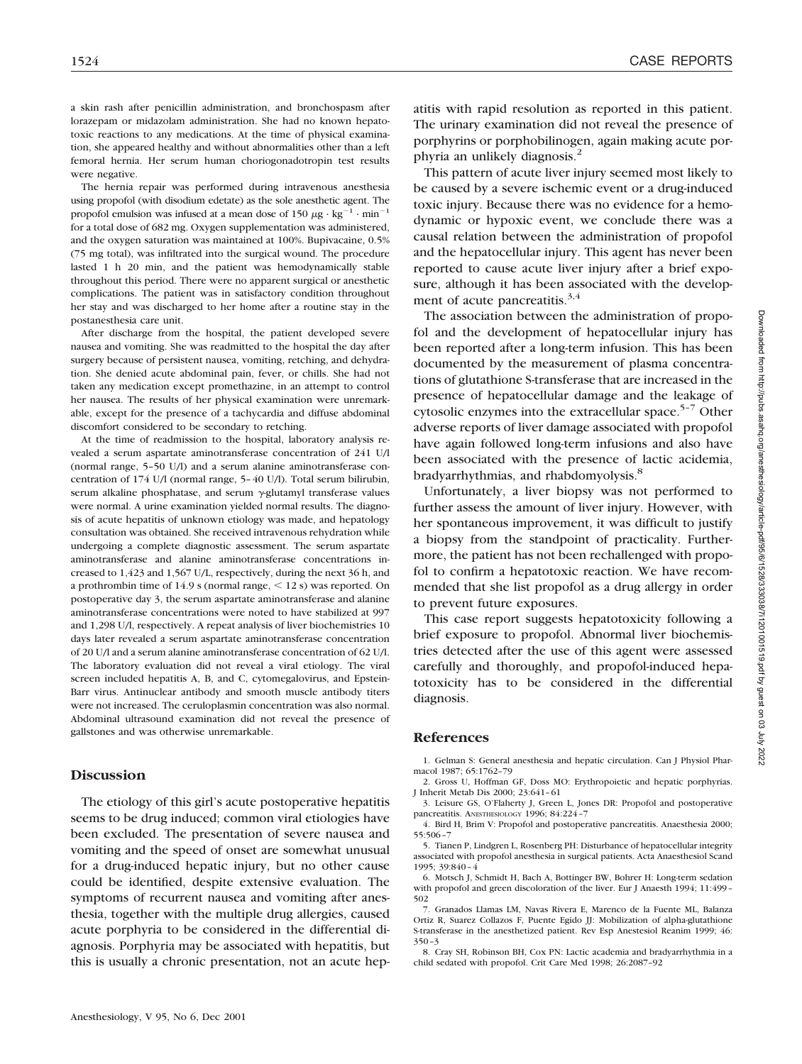a skin rash after penicillin administration, and bronchospasm after lorazepam or midazolam administration. She had no known hepatotoxic reactions to any medications. At the time of physical examination, she appeared healthy and without abnormalities other than a left femoral hernia. Her serum human choriogonadotropin test results were negative.

The hernia repair was performed during intravenous anesthesia using propofol (with disodium edetate) as the sole anesthetic agent. The propofol emulsion was infused at a mean dose of 150  $\mu$ g · kg<sup>-1</sup> · min<sup>-1</sup> for a total dose of 682 mg. Oxygen supplementation was administered, and the oxygen saturation was maintained at 100%. Bupivacaine, 0.5% (75 mg total), was infiltrated into the surgical wound. The procedure lasted 1 h 20 min, and the patient was hemodynamically stable throughout this period. There were no apparent surgical or anesthetic complications. The patient was in satisfactory condition throughout her stay and was discharged to her home after a routine stay in the postanesthesia care unit.

After discharge from the hospital, the patient developed severe nausea and vomiting. She was readmitted to the hospital the day after surgery because of persistent nausea, vomiting, retching, and dehydration. She denied acute abdominal pain, fever, or chills. She had not taken any medication except promethazine, in an attempt to control her nausea. The results of her physical examination were unremarkable, except for the presence of a tachycardia and diffuse abdominal discomfort considered to be secondary to retching.

At the time of readmission to the hospital, laboratory analysis revealed a serum aspartate aminotransferase concentration of 241 U/l (normal range, 5–50 U/l) and a serum alanine aminotransferase concentration of 174 U/l (normal range, 5–40 U/l). Total serum bilirubin, serum alkaline phosphatase, and serum  $\gamma$ -glutamyl transferase values were normal. A urine examination yielded normal results. The diagnosis of acute hepatitis of unknown etiology was made, and hepatology consultation was obtained. She received intravenous rehydration while undergoing a complete diagnostic assessment. The serum aspartate aminotransferase and alanine aminotransferase concentrations increased to 1,423 and 1,567 U/L, respectively, during the next 36 h, and a prothrombin time of  $14.9$  s (normal range,  $\leq 12$  s) was reported. On postoperative day 3, the serum aspartate aminotransferase and alanine aminotransferase concentrations were noted to have stabilized at 997 and 1,298 U/l, respectively. A repeat analysis of liver biochemistries 10 days later revealed a serum aspartate aminotransferase concentration of 20 U/l and a serum alanine aminotransferase concentration of 62 U/l. The laboratory evaluation did not reveal a viral etiology. The viral screen included hepatitis A, B, and C, cytomegalovirus, and Epstein-Barr virus. Antinuclear antibody and smooth muscle antibody titers were not increased. The ceruloplasmin concentration was also normal. Abdominal ultrasound examination did not reveal the presence of gallstones and was otherwise unremarkable.

### **Discussion**

The etiology of this girl's acute postoperative hepatitis seems to be drug induced; common viral etiologies have been excluded. The presentation of severe nausea and vomiting and the speed of onset are somewhat unusual for a drug-induced hepatic injury, but no other cause could be identified, despite extensive evaluation. The symptoms of recurrent nausea and vomiting after anesthesia, together with the multiple drug allergies, caused acute porphyria to be considered in the differential diagnosis. Porphyria may be associated with hepatitis, but this is usually a chronic presentation, not an acute hepatitis with rapid resolution as reported in this patient. The urinary examination did not reveal the presence of porphyrins or porphobilinogen, again making acute porphyria an unlikely diagnosis. $<sup>2</sup>$ </sup>

This pattern of acute liver injury seemed most likely to be caused by a severe ischemic event or a drug-induced toxic injury. Because there was no evidence for a hemodynamic or hypoxic event, we conclude there was a causal relation between the administration of propofol and the hepatocellular injury. This agent has never been reported to cause acute liver injury after a brief exposure, although it has been associated with the development of acute pancreatitis. $3,4$ 

The association between the administration of propofol and the development of hepatocellular injury has been reported after a long-term infusion. This has been documented by the measurement of plasma concentrations of glutathione S-transferase that are increased in the presence of hepatocellular damage and the leakage of cytosolic enzymes into the extracellular space. $5-7$  Other adverse reports of liver damage associated with propofol have again followed long-term infusions and also have been associated with the presence of lactic acidemia, bradyarrhythmias, and rhabdomyolysis.8

Unfortunately, a liver biopsy was not performed to further assess the amount of liver injury. However, with her spontaneous improvement, it was difficult to justify a biopsy from the standpoint of practicality. Furthermore, the patient has not been rechallenged with propofol to confirm a hepatotoxic reaction. We have recommended that she list propofol as a drug allergy in order to prevent future exposures.

This case report suggests hepatotoxicity following a brief exposure to propofol. Abnormal liver biochemistries detected after the use of this agent were assessed carefully and thoroughly, and propofol-induced hepatotoxicity has to be considered in the differential diagnosis.

### **References**

1. Gelman S: General anesthesia and hepatic circulation. Can J Physiol Pharmacol 1987; 65:1762–79

2. Gross U, Hoffman GF, Doss MO: Erythropoietic and hepatic porphyrias. J Inherit Metab Dis 2000; 23:641–61

3. Leisure GS, O'Flaherty J, Green L, Jones DR: Propofol and postoperative pancreatitis. ANESTHESIOLOGY 1996; 84:224–7

4. Bird H, Brim V: Propofol and postoperative pancreatitis. Anaesthesia 2000; 55:506–7

5. Tianen P, Lindgren L, Rosenberg PH: Disturbance of hepatocellular integrity associated with propofol anesthesia in surgical patients. Acta Anaesthesiol Scand 1995; 39:840–4

6. Motsch J, Schmidt H, Bach A, Bottinger BW, Bohrer H: Long-term sedation with propofol and green discoloration of the liver. Eur J Anaesth 1994; 11:499– 502

7. Granados Llamas LM, Navas Rivera E, Marenco de la Fuente ML, Balanza Ortiz R, Suarez Collazos F, Puente Egido JJ: Mobilization of alpha-glutathione S-transferase in the anesthetized patient. Rev Esp Anestesiol Reanim 1999; 46: 350–3

8. Cray SH, Robinson BH, Cox PN: Lactic academia and bradyarrhythmia in a child sedated with propofol. Crit Care Med 1998; 26:2087–92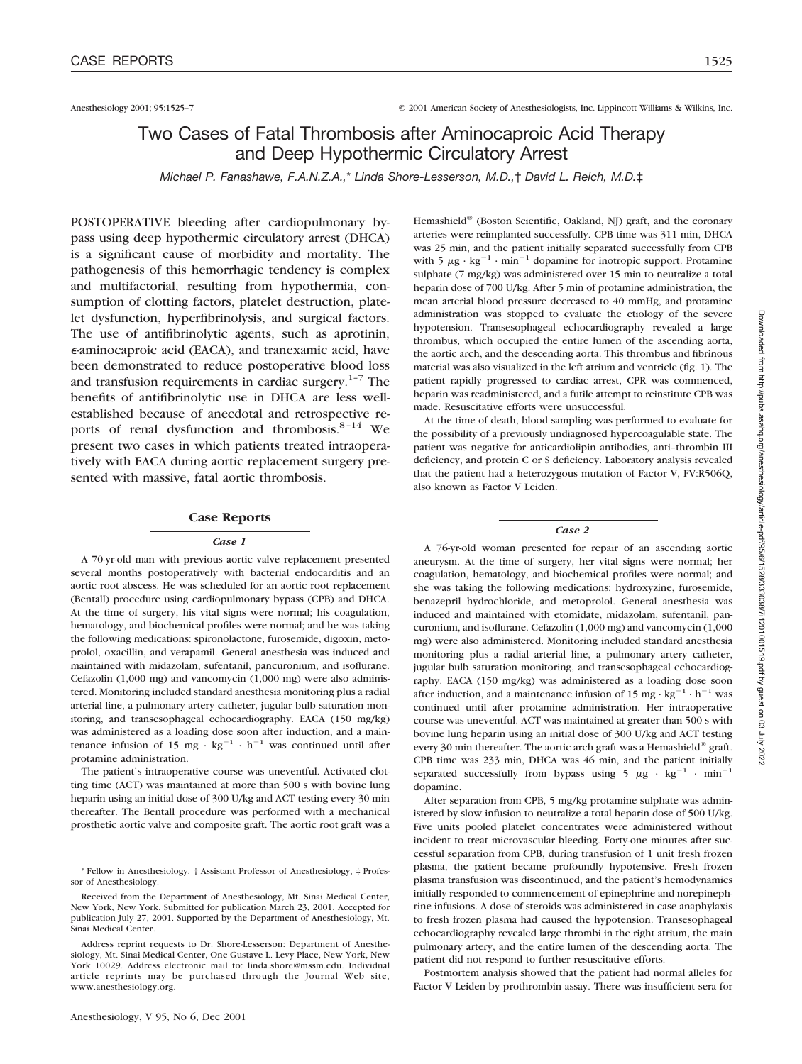# Two Cases of Fatal Thrombosis after Aminocaproic Acid Therapy and Deep Hypothermic Circulatory Arrest

*Michael P. Fanashawe, F.A.N.Z.A.,*\* *Linda Shore-Lesserson, M.D.,*† *David L. Reich, M.D.*‡

POSTOPERATIVE bleeding after cardiopulmonary bypass using deep hypothermic circulatory arrest (DHCA) is a significant cause of morbidity and mortality. The pathogenesis of this hemorrhagic tendency is complex and multifactorial, resulting from hypothermia, consumption of clotting factors, platelet destruction, platelet dysfunction, hyperfibrinolysis, and surgical factors. The use of antifibrinolytic agents, such as aprotinin, -aminocaproic acid (EACA), and tranexamic acid, have been demonstrated to reduce postoperative blood loss and transfusion requirements in cardiac surgery. $1-7$  The benefits of antifibrinolytic use in DHCA are less wellestablished because of anecdotal and retrospective reports of renal dysfunction and thrombosis.<sup>8-14</sup> We present two cases in which patients treated intraoperatively with EACA during aortic replacement surgery presented with massive, fatal aortic thrombosis.

#### **Case Reports**

#### *Case 1*

A 70-yr-old man with previous aortic valve replacement presented several months postoperatively with bacterial endocarditis and an aortic root abscess. He was scheduled for an aortic root replacement (Bentall) procedure using cardiopulmonary bypass (CPB) and DHCA. At the time of surgery, his vital signs were normal; his coagulation, hematology, and biochemical profiles were normal; and he was taking the following medications: spironolactone, furosemide, digoxin, metoprolol, oxacillin, and verapamil. General anesthesia was induced and maintained with midazolam, sufentanil, pancuronium, and isoflurane. Cefazolin (1,000 mg) and vancomycin (1,000 mg) were also administered. Monitoring included standard anesthesia monitoring plus a radial arterial line, a pulmonary artery catheter, jugular bulb saturation monitoring, and transesophageal echocardiography. EACA (150 mg/kg) was administered as a loading dose soon after induction, and a maintenance infusion of 15 mg  $\cdot$  kg<sup>-1</sup>  $\cdot$  h<sup>-1</sup> was continued until after protamine administration.

The patient's intraoperative course was uneventful. Activated clotting time (ACT) was maintained at more than 500 s with bovine lung heparin using an initial dose of 300 U/kg and ACT testing every 30 min thereafter. The Bentall procedure was performed with a mechanical prosthetic aortic valve and composite graft. The aortic root graft was a

Hemashield<sup>®</sup> (Boston Scientific, Oakland, NJ) graft, and the coronary arteries were reimplanted successfully. CPB time was 311 min, DHCA was 25 min, and the patient initially separated successfully from CPB with 5  $\mu$ g · kg<sup>-1</sup> · min<sup>-1</sup> dopamine for inotropic support. Protamine sulphate (7 mg/kg) was administered over 15 min to neutralize a total heparin dose of 700 U/kg. After 5 min of protamine administration, the mean arterial blood pressure decreased to 40 mmHg, and protamine administration was stopped to evaluate the etiology of the severe hypotension. Transesophageal echocardiography revealed a large thrombus, which occupied the entire lumen of the ascending aorta, the aortic arch, and the descending aorta. This thrombus and fibrinous material was also visualized in the left atrium and ventricle (fig. 1). The patient rapidly progressed to cardiac arrest, CPR was commenced, heparin was readministered, and a futile attempt to reinstitute CPB was made. Resuscitative efforts were unsuccessful.

At the time of death, blood sampling was performed to evaluate for the possibility of a previously undiagnosed hypercoagulable state. The patient was negative for anticardiolipin antibodies, anti–thrombin III deficiency, and protein C or S deficiency. Laboratory analysis revealed that the patient had a heterozygous mutation of Factor V, FV:R506Q, also known as Factor V Leiden.

#### *Case 2*

A 76-yr-old woman presented for repair of an ascending aortic aneurysm. At the time of surgery, her vital signs were normal; her coagulation, hematology, and biochemical profiles were normal; and she was taking the following medications: hydroxyzine, furosemide, benazepril hydrochloride, and metoprolol. General anesthesia was induced and maintained with etomidate, midazolam, sufentanil, pancuronium, and isoflurane. Cefazolin (1,000 mg) and vancomycin (1,000 mg) were also administered. Monitoring included standard anesthesia monitoring plus a radial arterial line, a pulmonary artery catheter, jugular bulb saturation monitoring, and transesophageal echocardiography. EACA (150 mg/kg) was administered as a loading dose soon after induction, and a maintenance infusion of 15 mg  $\cdot$  kg<sup>-1</sup>  $\cdot$  h<sup>-1</sup> was continued until after protamine administration. Her intraoperative course was uneventful. ACT was maintained at greater than 500 s with bovine lung heparin using an initial dose of 300 U/kg and ACT testing every 30 min thereafter. The aortic arch graft was a Hemashield® graft. CPB time was 233 min, DHCA was 46 min, and the patient initially separated successfully from bypass using  $5 \mu g \cdot kg^{-1} \cdot min^{-1}$ dopamine.

After separation from CPB, 5 mg/kg protamine sulphate was administered by slow infusion to neutralize a total heparin dose of 500 U/kg. Five units pooled platelet concentrates were administered without incident to treat microvascular bleeding. Forty-one minutes after successful separation from CPB, during transfusion of 1 unit fresh frozen plasma, the patient became profoundly hypotensive. Fresh frozen plasma transfusion was discontinued, and the patient's hemodynamics initially responded to commencement of epinephrine and norepinephrine infusions. A dose of steroids was administered in case anaphylaxis to fresh frozen plasma had caused the hypotension. Transesophageal echocardiography revealed large thrombi in the right atrium, the main pulmonary artery, and the entire lumen of the descending aorta. The patient did not respond to further resuscitative efforts.

Postmortem analysis showed that the patient had normal alleles for Factor V Leiden by prothrombin assay. There was insufficient sera for

<sup>\*</sup> Fellow in Anesthesiology, † Assistant Professor of Anesthesiology, ‡ Professor of Anesthesiology.

Received from the Department of Anesthesiology, Mt. Sinai Medical Center, New York, New York. Submitted for publication March 23, 2001. Accepted for publication July 27, 2001. Supported by the Department of Anesthesiology, Mt. Sinai Medical Center.

Address reprint requests to Dr. Shore-Lesserson: Department of Anesthesiology, Mt. Sinai Medical Center, One Gustave L. Levy Place, New York, New York 10029. Address electronic mail to: linda.shore@mssm.edu. Individual article reprints may be purchased through the Journal Web site, www.anesthesiology.org.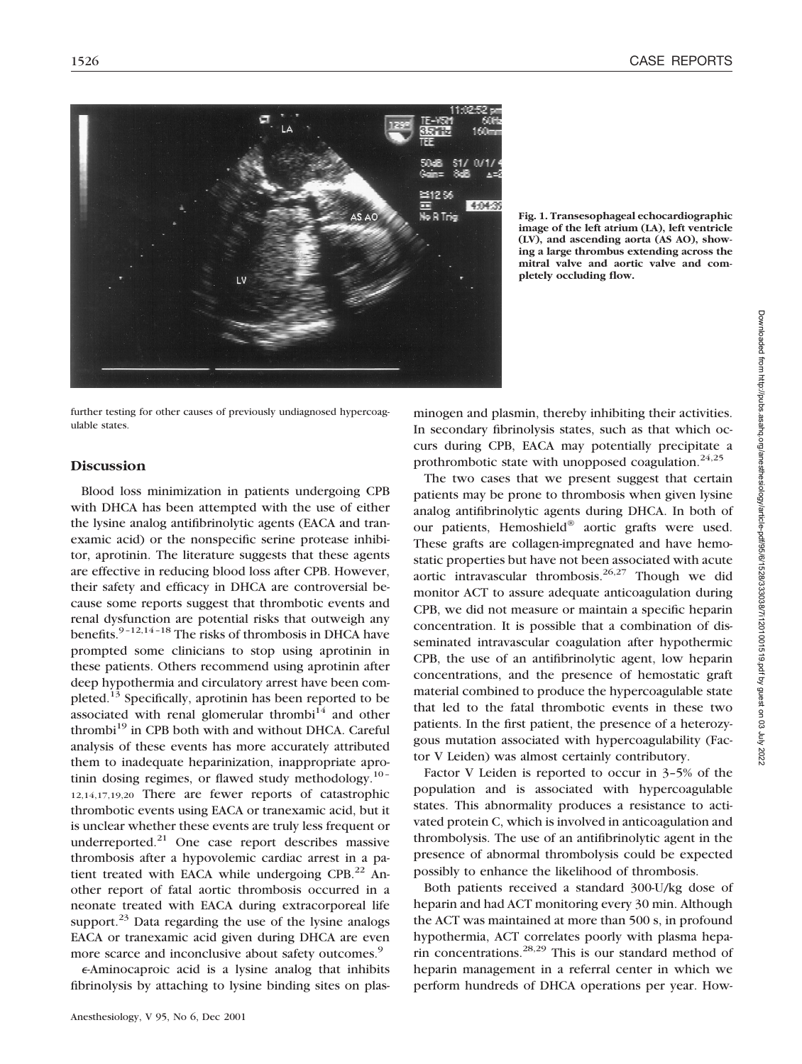

**Fig. 1. Transesophageal echocardiographic image of the left atrium (LA), left ventricle (LV), and ascending aorta (AS AO), showing a large thrombus extending across the mitral valve and aortic valve and completely occluding flow.**

further testing for other causes of previously undiagnosed hypercoagulable states.

## **Discussion**

Blood loss minimization in patients undergoing CPB with DHCA has been attempted with the use of either the lysine analog antifibrinolytic agents (EACA and tranexamic acid) or the nonspecific serine protease inhibitor, aprotinin. The literature suggests that these agents are effective in reducing blood loss after CPB. However, their safety and efficacy in DHCA are controversial because some reports suggest that thrombotic events and renal dysfunction are potential risks that outweigh any benefits. $9-12,14-18$  The risks of thrombosis in DHCA have prompted some clinicians to stop using aprotinin in these patients. Others recommend using aprotinin after deep hypothermia and circulatory arrest have been completed.<sup>13</sup> Specifically, aprotinin has been reported to be associated with renal glomerular thrombi<sup>14</sup> and other thrombi<sup>19</sup> in CPB both with and without DHCA. Careful analysis of these events has more accurately attributed them to inadequate heparinization, inappropriate aprotinin dosing regimes, or flawed study methodology. $10-$ 12,14,17,19,20 There are fewer reports of catastrophic thrombotic events using EACA or tranexamic acid, but it is unclear whether these events are truly less frequent or underreported. $^{21}$  One case report describes massive thrombosis after a hypovolemic cardiac arrest in a patient treated with EACA while undergoing  $CPB<sup>22</sup>$  Another report of fatal aortic thrombosis occurred in a neonate treated with EACA during extracorporeal life support.<sup>23</sup> Data regarding the use of the lysine analogs EACA or tranexamic acid given during DHCA are even more scarce and inconclusive about safety outcomes.<sup>9</sup>

-Aminocaproic acid is a lysine analog that inhibits fibrinolysis by attaching to lysine binding sites on plasminogen and plasmin, thereby inhibiting their activities. In secondary fibrinolysis states, such as that which occurs during CPB, EACA may potentially precipitate a prothrombotic state with unopposed coagulation.<sup>24,25</sup>

The two cases that we present suggest that certain patients may be prone to thrombosis when given lysine analog antifibrinolytic agents during DHCA. In both of our patients, Hemoshield® aortic grafts were used. These grafts are collagen-impregnated and have hemostatic properties but have not been associated with acute aortic intravascular thrombosis.<sup>26,27</sup> Though we did monitor ACT to assure adequate anticoagulation during CPB, we did not measure or maintain a specific heparin concentration. It is possible that a combination of disseminated intravascular coagulation after hypothermic CPB, the use of an antifibrinolytic agent, low heparin concentrations, and the presence of hemostatic graft material combined to produce the hypercoagulable state that led to the fatal thrombotic events in these two patients. In the first patient, the presence of a heterozygous mutation associated with hypercoagulability (Factor V Leiden) was almost certainly contributory.

Factor V Leiden is reported to occur in 3–5% of the population and is associated with hypercoagulable states. This abnormality produces a resistance to activated protein C, which is involved in anticoagulation and thrombolysis. The use of an antifibrinolytic agent in the presence of abnormal thrombolysis could be expected possibly to enhance the likelihood of thrombosis.

Both patients received a standard 300-U/kg dose of heparin and had ACT monitoring every 30 min. Although the ACT was maintained at more than 500 s, in profound hypothermia, ACT correlates poorly with plasma heparin concentrations.28,29 This is our standard method of heparin management in a referral center in which we perform hundreds of DHCA operations per year. How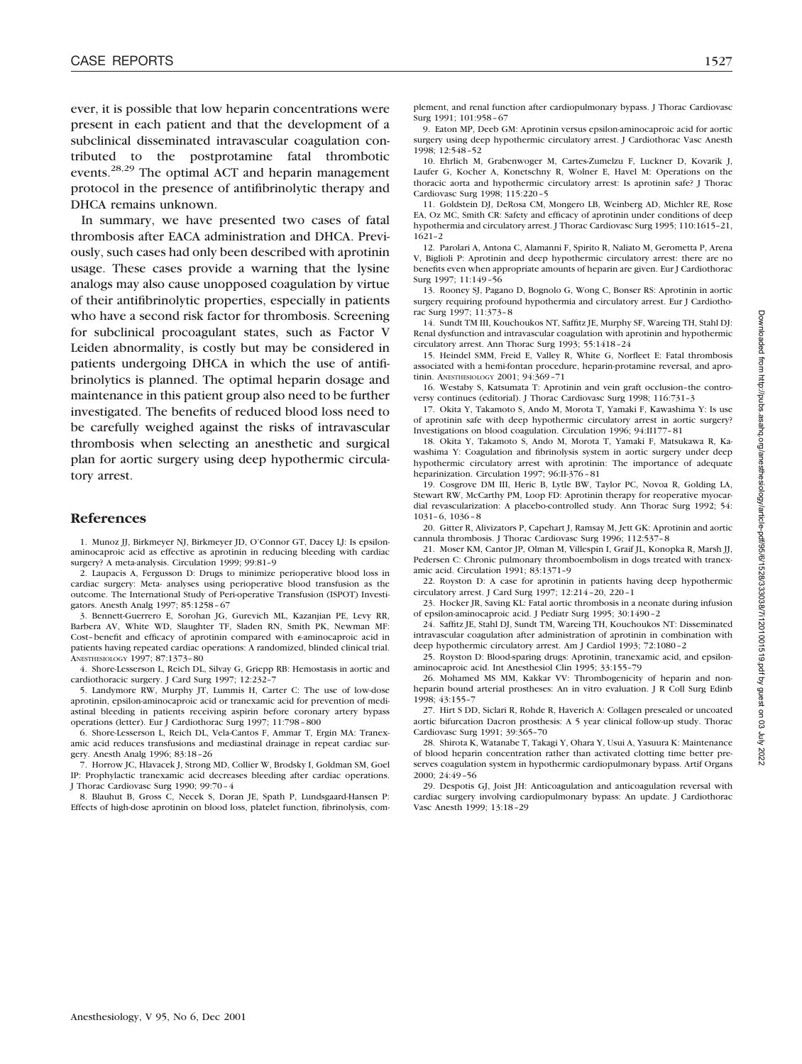ever, it is possible that low heparin concentrations were present in each patient and that the development of a subclinical disseminated intravascular coagulation contributed to the postprotamine fatal thrombotic events.28,29 The optimal ACT and heparin management protocol in the presence of antifibrinolytic therapy and DHCA remains unknown.

In summary, we have presented two cases of fatal thrombosis after EACA administration and DHCA. Previously, such cases had only been described with aprotinin usage. These cases provide a warning that the lysine analogs may also cause unopposed coagulation by virtue of their antifibrinolytic properties, especially in patients who have a second risk factor for thrombosis. Screening for subclinical procoagulant states, such as Factor V Leiden abnormality, is costly but may be considered in patients undergoing DHCA in which the use of antifibrinolytics is planned. The optimal heparin dosage and maintenance in this patient group also need to be further investigated. The benefits of reduced blood loss need to be carefully weighed against the risks of intravascular thrombosis when selecting an anesthetic and surgical plan for aortic surgery using deep hypothermic circulatory arrest.

### **References**

1. Munoz JJ, Birkmeyer NJ, Birkmeyer JD, O'Connor GT, Dacey LJ: Is epsilonaminocaproic acid as effective as aprotinin in reducing bleeding with cardiac surgery? A meta-analysis. Circulation 1999; 99:81–9

2. Laupacis A, Fergusson D: Drugs to minimize perioperative blood loss in cardiac surgery: Meta- analyses using perioperative blood transfusion as the outcome. The International Study of Peri-operative Transfusion (ISPOT) Investigators. Anesth Analg 1997; 85:1258–67

3. Bennett-Guerrero E, Sorohan JG, Gurevich ML, Kazanjian PE, Levy RR, Barbera AV, White WD, Slaughter TF, Sladen RN, Smith PK, Newman MF: Cost-benefit and efficacy of aprotinin compared with  $\epsilon$ -aminocaproic acid in patients having repeated cardiac operations: A randomized, blinded clinical trial. ANESTHESIOLOGY 1997; 87:1373–80

4. Shore-Lesserson L, Reich DL, Silvay G, Griepp RB: Hemostasis in aortic and cardiothoracic surgery. J Card Surg 1997; 12:232-

5. Landymore RW, Murphy JT, Lummis H, Carter C: The use of low-dose aprotinin, epsilon-aminocaproic acid or tranexamic acid for prevention of mediastinal bleeding in patients receiving aspirin before coronary artery bypass operations (letter). Eur J Cardiothorac Surg 1997; 11:798–800

6. Shore-Lesserson L, Reich DL, Vela-Cantos F, Ammar T, Ergin MA: Tranexamic acid reduces transfusions and mediastinal drainage in repeat cardiac surgery. Anesth Analg 1996; 83:18–26

7. Horrow JC, Hlavacek J, Strong MD, Collier W, Brodsky I, Goldman SM, Goel IP: Prophylactic tranexamic acid decreases bleeding after cardiac operations. J Thorac Cardiovasc Surg 1990; 99:70–4

8. Blauhut B, Gross C, Necek S, Doran JE, Spath P, Lundsgaard-Hansen P: Effects of high-dose aprotinin on blood loss, platelet function, fibrinolysis, complement, and renal function after cardiopulmonary bypass. J Thorac Cardiovasc Surg 1991; 101:958–67

9. Eaton MP, Deeb GM: Aprotinin versus epsilon-aminocaproic acid for aortic surgery using deep hypothermic circulatory arrest. J Cardiothorac Vasc Anesth 1998; 12:548–52

10. Ehrlich M, Grabenwoger M, Cartes-Zumelzu F, Luckner D, Kovarik J, Laufer G, Kocher A, Konetschny R, Wolner E, Havel M: Operations on the thoracic aorta and hypothermic circulatory arrest: Is aprotinin safe? J Thorac Cardiovasc Surg 1998; 115:220–5

11. Goldstein DJ, DeRosa CM, Mongero LB, Weinberg AD, Michler RE, Rose EA, Oz MC, Smith CR: Safety and efficacy of aprotinin under conditions of deep hypothermia and circulatory arrest. J Thorac Cardiovasc Surg 1995; 110:1615–21, 1621–2

12. Parolari A, Antona C, Alamanni F, Spirito R, Naliato M, Gerometta P, Arena V, Biglioli P: Aprotinin and deep hypothermic circulatory arrest: there are no benefits even when appropriate amounts of heparin are given. Eur J Cardiothorac Surg 1997; 11:149–56

13. Rooney SJ, Pagano D, Bognolo G, Wong C, Bonser RS: Aprotinin in aortic surgery requiring profound hypothermia and circulatory arrest. Eur J Cardiothorac Surg 1997; 11:373–8

14. Sundt TM III, Kouchoukos NT, Saffitz JE, Murphy SF, Wareing TH, Stahl DJ: Renal dysfunction and intravascular coagulation with aprotinin and hypothermic circulatory arrest. Ann Thorac Surg 1993; 55:1418–24

15. Heindel SMM, Freid E, Valley R, White G, Norfleet E: Fatal thrombosis associated with a hemi-fontan procedure, heparin-protamine reversal, and aprotinin. ANESTHESIOLOGY 2001; 94:369–71

16. Westaby S, Katsumata T: Aprotinin and vein graft occlusion–the controversy continues (editorial). J Thorac Cardiovasc Surg 1998; 116:731–3

17. Okita Y, Takamoto S, Ando M, Morota T, Yamaki F, Kawashima Y: Is use of aprotinin safe with deep hypothermic circulatory arrest in aortic surgery? Investigations on blood coagulation. Circulation 1996; 94:II177–81

18. Okita Y, Takamoto S, Ando M, Morota T, Yamaki F, Matsukawa R, Kawashima Y: Coagulation and fibrinolysis system in aortic surgery under deep hypothermic circulatory arrest with aprotinin: The importance of adequate heparinization. Circulation 1997; 96:II-376–81

19. Cosgrove DM III, Heric B, Lytle BW, Taylor PC, Novoa R, Golding LA, Stewart RW, McCarthy PM, Loop FD: Aprotinin therapy for reoperative myocardial revascularization: A placebo-controlled study. Ann Thorac Surg 1992; 54: 1031–6, 1036–8

20. Gitter R, Alivizators P, Capehart J, Ramsay M, Jett GK: Aprotinin and aortic cannula thrombosis. J Thorac Cardiovasc Surg 1996; 112:537–8

21. Moser KM, Cantor JP, Olman M, Villespin I, Graif JL, Konopka R, Marsh JJ, Pedersen C: Chronic pulmonary thromboembolism in dogs treated with tranexamic acid. Circulation 1991; 83:1371–9

22. Royston D: A case for aprotinin in patients having deep hypothermic circulatory arrest. J Card Surg 1997; 12:214–20, 220–1

23. Hocker JR, Saving KL: Fatal aortic thrombosis in a neonate during infusion of epsilon-aminocaproic acid. J Pediatr Surg 1995; 30:1490–2

24. Saffitz JE, Stahl DJ, Sundt TM, Wareing TH, Kouchoukos NT: Disseminated intravascular coagulation after administration of aprotinin in combination with deep hypothermic circulatory arrest. Am J Cardiol 1993; 72:1080–2

25. Royston D: Blood-sparing drugs: Aprotinin, tranexamic acid, and epsilonaminocaproic acid. Int Anesthesiol Clin 1995; 33:155–79

26. Mohamed MS MM, Kakkar VV: Thrombogenicity of heparin and nonheparin bound arterial prostheses: An in vitro evaluation. J R Coll Surg Edinb 1998; 43:155–7

27. Hirt S DD, Siclari R, Rohde R, Haverich A: Collagen presealed or uncoated aortic bifurcation Dacron prosthesis: A 5 year clinical follow-up study. Thorac Cardiovasc Surg 1991; 39:365–70

28. Shirota K, Watanabe T, Takagi Y, Ohara Y, Usui A, Yasuura K: Maintenance of blood heparin concentration rather than activated clotting time better preserves coagulation system in hypothermic cardiopulmonary bypass. Artif Organs 2000; 24:49–56

29. Despotis GJ, Joist JH: Anticoagulation and anticoagulation reversal with cardiac surgery involving cardiopulmonary bypass: An update. J Cardiothorac Vasc Anesth 1999; 13:18–29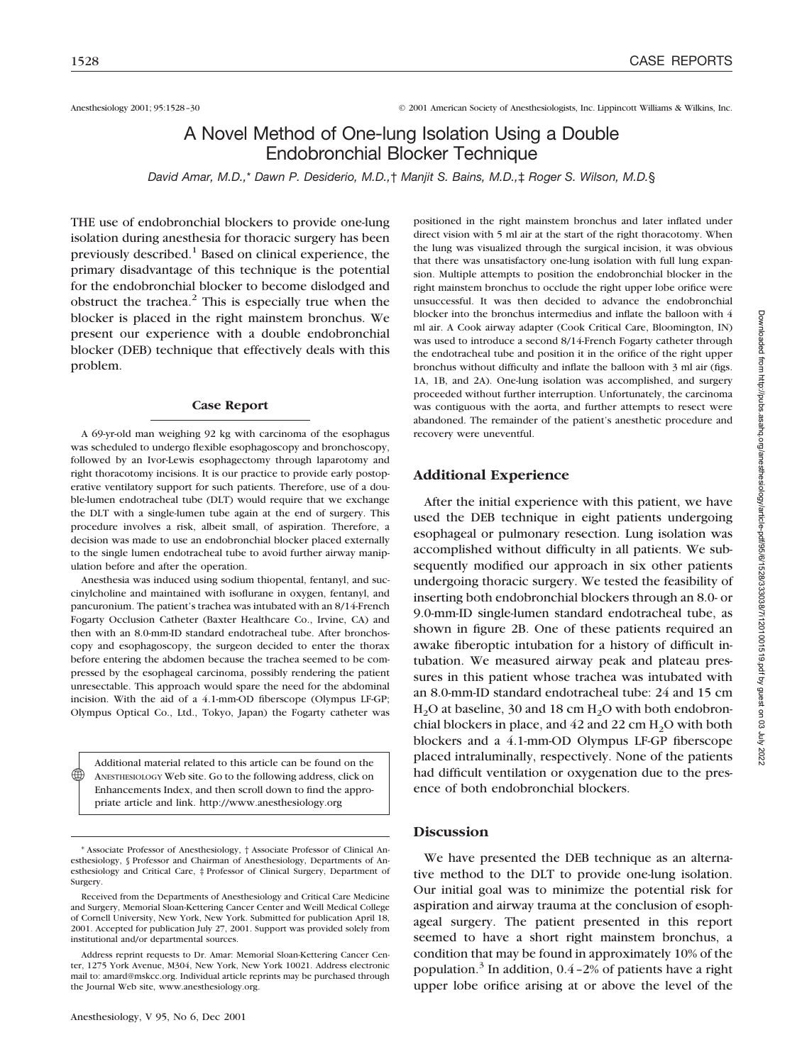Anesthesiology 2001; 95:1528–30 © 2001 American Society of Anesthesiologists, Inc. Lippincott Williams & Wilkins, Inc.

# A Novel Method of One-lung Isolation Using a Double Endobronchial Blocker Technique

*David Amar, M.D.,*\* *Dawn P. Desiderio, M.D.,*† *Manjit S. Bains, M.D.,*‡ *Roger S. Wilson, M.D.*§

THE use of endobronchial blockers to provide one-lung isolation during anesthesia for thoracic surgery has been previously described.<sup>1</sup> Based on clinical experience, the primary disadvantage of this technique is the potential for the endobronchial blocker to become dislodged and obstruct the trachea. $<sup>2</sup>$  This is especially true when the</sup> blocker is placed in the right mainstem bronchus. We present our experience with a double endobronchial blocker (DEB) technique that effectively deals with this problem.

#### **Case Report**

A 69-yr-old man weighing 92 kg with carcinoma of the esophagus was scheduled to undergo flexible esophagoscopy and bronchoscopy, followed by an Ivor-Lewis esophagectomy through laparotomy and right thoracotomy incisions. It is our practice to provide early postoperative ventilatory support for such patients. Therefore, use of a double-lumen endotracheal tube (DLT) would require that we exchange the DLT with a single-lumen tube again at the end of surgery. This procedure involves a risk, albeit small, of aspiration. Therefore, a decision was made to use an endobronchial blocker placed externally to the single lumen endotracheal tube to avoid further airway manipulation before and after the operation.

Anesthesia was induced using sodium thiopental, fentanyl, and succinylcholine and maintained with isoflurane in oxygen, fentanyl, and pancuronium. The patient's trachea was intubated with an 8/14-French Fogarty Occlusion Catheter (Baxter Healthcare Co., Irvine, CA) and then with an 8.0-mm-ID standard endotracheal tube. After bronchoscopy and esophagoscopy, the surgeon decided to enter the thorax before entering the abdomen because the trachea seemed to be compressed by the esophageal carcinoma, possibly rendering the patient unresectable. This approach would spare the need for the abdominal incision. With the aid of a 4.1-mm-OD fiberscope (Olympus LF-GP; Olympus Optical Co., Ltd., Tokyo, Japan) the Fogarty catheter was

Additional material related to this article can be found on the ANESTHESIOLOGY Web site. Go to the following address, click on Enhancements Index, and then scroll down to find the appropriate article and link. http://www.anesthesiology.org ♠

positioned in the right mainstem bronchus and later inflated under direct vision with 5 ml air at the start of the right thoracotomy. When the lung was visualized through the surgical incision, it was obvious that there was unsatisfactory one-lung isolation with full lung expansion. Multiple attempts to position the endobronchial blocker in the right mainstem bronchus to occlude the right upper lobe orifice were unsuccessful. It was then decided to advance the endobronchial blocker into the bronchus intermedius and inflate the balloon with 4 ml air. A Cook airway adapter (Cook Critical Care, Bloomington, IN) was used to introduce a second 8/14-French Fogarty catheter through the endotracheal tube and position it in the orifice of the right upper bronchus without difficulty and inflate the balloon with 3 ml air (figs. 1A, 1B, and 2A). One-lung isolation was accomplished, and surgery proceeded without further interruption. Unfortunately, the carcinoma was contiguous with the aorta, and further attempts to resect were abandoned. The remainder of the patient's anesthetic procedure and recovery were uneventful.

### **Additional Experience**

After the initial experience with this patient, we have used the DEB technique in eight patients undergoing esophageal or pulmonary resection. Lung isolation was accomplished without difficulty in all patients. We subsequently modified our approach in six other patients undergoing thoracic surgery. We tested the feasibility of inserting both endobronchial blockers through an 8.0- or 9.0-mm-ID single-lumen standard endotracheal tube, as shown in figure 2B. One of these patients required an awake fiberoptic intubation for a history of difficult intubation. We measured airway peak and plateau pressures in this patient whose trachea was intubated with an 8.0-mm-ID standard endotracheal tube: 24 and 15 cm  $H<sub>2</sub>O$  at baseline, 30 and 18 cm  $H<sub>2</sub>O$  with both endobronchial blockers in place, and  $42$  and  $22$  cm  $H<sub>2</sub>O$  with both blockers and a 4.1-mm-OD Olympus LF-GP fiberscope placed intraluminally, respectively. None of the patients had difficult ventilation or oxygenation due to the presence of both endobronchial blockers.

## **Discussion**

We have presented the DEB technique as an alternative method to the DLT to provide one-lung isolation. Our initial goal was to minimize the potential risk for aspiration and airway trauma at the conclusion of esophageal surgery. The patient presented in this report seemed to have a short right mainstem bronchus, a condition that may be found in approximately 10% of the population.<sup>3</sup> In addition,  $0.4 - 2\%$  of patients have a right upper lobe orifice arising at or above the level of the

<sup>\*</sup> Associate Professor of Anesthesiology, † Associate Professor of Clinical Anesthesiology, § Professor and Chairman of Anesthesiology, Departments of Anesthesiology and Critical Care, ‡ Professor of Clinical Surgery, Department of Surgery.

Received from the Departments of Anesthesiology and Critical Care Medicine and Surgery, Memorial Sloan-Kettering Cancer Center and Weill Medical College of Cornell University, New York, New York. Submitted for publication April 18, 2001. Accepted for publication July 27, 2001. Support was provided solely from institutional and/or departmental sources.

Address reprint requests to Dr. Amar: Memorial Sloan-Kettering Cancer Center, 1275 York Avenue, M304, New York, New York 10021. Address electronic mail to: amard@mskcc.org. Individual article reprints may be purchased through the Journal Web site, www.anesthesiology.org.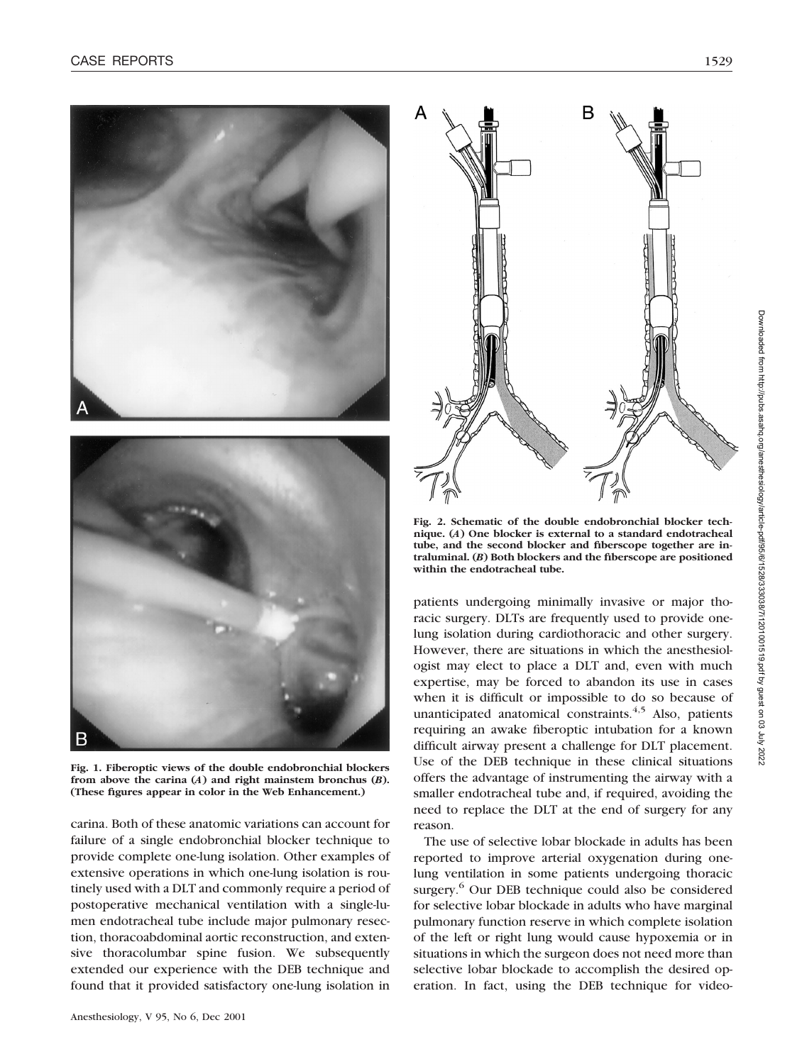

**Fig. 1. Fiberoptic views of the double endobronchial blockers from above the carina (***A***) and right mainstem bronchus (***B***). (These figures appear in color in the Web Enhancement.)**

carina. Both of these anatomic variations can account for failure of a single endobronchial blocker technique to provide complete one-lung isolation. Other examples of extensive operations in which one-lung isolation is routinely used with a DLT and commonly require a period of postoperative mechanical ventilation with a single-lumen endotracheal tube include major pulmonary resection, thoracoabdominal aortic reconstruction, and extensive thoracolumbar spine fusion. We subsequently extended our experience with the DEB technique and found that it provided satisfactory one-lung isolation in



**Fig. 2. Schematic of the double endobronchial blocker technique. (***A***) One blocker is external to a standard endotracheal tube, and the second blocker and fiberscope together are intraluminal. (***B***) Both blockers and the fiberscope are positioned within the endotracheal tube.**

patients undergoing minimally invasive or major thoracic surgery. DLTs are frequently used to provide onelung isolation during cardiothoracic and other surgery. However, there are situations in which the anesthesiologist may elect to place a DLT and, even with much expertise, may be forced to abandon its use in cases when it is difficult or impossible to do so because of unanticipated anatomical constraints. $4,5$  Also, patients requiring an awake fiberoptic intubation for a known difficult airway present a challenge for DLT placement. Use of the DEB technique in these clinical situations offers the advantage of instrumenting the airway with a smaller endotracheal tube and, if required, avoiding the need to replace the DLT at the end of surgery for any reason.

The use of selective lobar blockade in adults has been reported to improve arterial oxygenation during onelung ventilation in some patients undergoing thoracic surgery.<sup>6</sup> Our DEB technique could also be considered for selective lobar blockade in adults who have marginal pulmonary function reserve in which complete isolation of the left or right lung would cause hypoxemia or in situations in which the surgeon does not need more than selective lobar blockade to accomplish the desired operation. In fact, using the DEB technique for video-